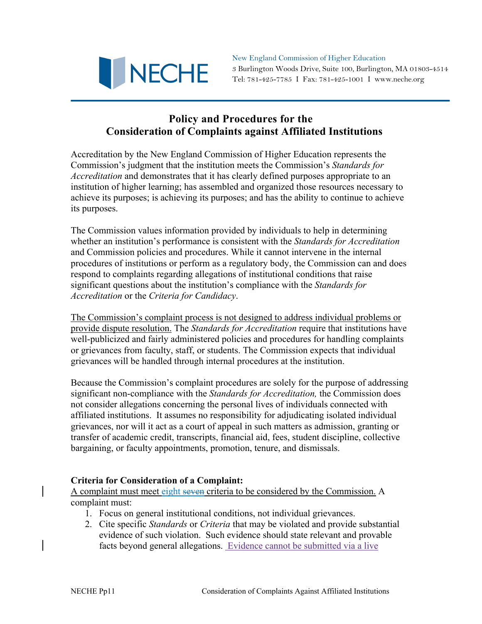

New England Commission of Higher Education 3 Burlington Woods Drive, Suite 100, Burlington, MA 01803-4514 Tel: 781-425-7785 I Fax: 781-425-1001 I www.neche.org

## **Policy and Procedures for the Consideration of Complaints against Affiliated Institutions**

Accreditation by the New England Commission of Higher Education represents the Commission's judgment that the institution meets the Commission's *Standards for Accreditation* and demonstrates that it has clearly defined purposes appropriate to an institution of higher learning; has assembled and organized those resources necessary to achieve its purposes; is achieving its purposes; and has the ability to continue to achieve its purposes.

The Commission values information provided by individuals to help in determining whether an institution's performance is consistent with the *Standards for Accreditation* and Commission policies and procedures. While it cannot intervene in the internal procedures of institutions or perform as a regulatory body, the Commission can and does respond to complaints regarding allegations of institutional conditions that raise significant questions about the institution's compliance with the *Standards for Accreditation* or the *Criteria for Candidacy*.

The Commission's complaint process is not designed to address individual problems or provide dispute resolution. The *Standards for Accreditation* require that institutions have well-publicized and fairly administered policies and procedures for handling complaints or grievances from faculty, staff, or students. The Commission expects that individual grievances will be handled through internal procedures at the institution.

Because the Commission's complaint procedures are solely for the purpose of addressing significant non-compliance with the *Standards for Accreditation,* the Commission does not consider allegations concerning the personal lives of individuals connected with affiliated institutions. It assumes no responsibility for adjudicating isolated individual grievances, nor will it act as a court of appeal in such matters as admission, granting or transfer of academic credit, transcripts, financial aid, fees, student discipline, collective bargaining, or faculty appointments, promotion, tenure, and dismissals.

## **Criteria for Consideration of a Complaint:**

A complaint must meet eight seven criteria to be considered by the Commission. A complaint must:

- 1. Focus on general institutional conditions, not individual grievances.
- 2. Cite specific *Standards* or *Criteria* that may be violated and provide substantial evidence of such violation. Such evidence should state relevant and provable facts beyond general allegations. Evidence cannot be submitted via a live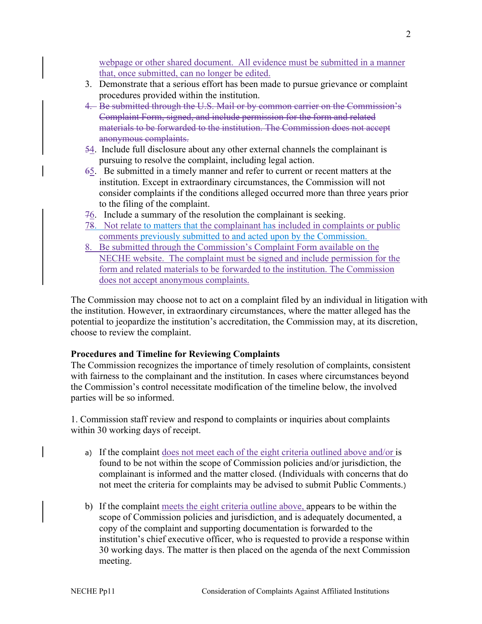webpage or other shared document. All evidence must be submitted in a manner that, once submitted, can no longer be edited.

- 3. Demonstrate that a serious effort has been made to pursue grievance or complaint procedures provided within the institution.
- 4. Be submitted through the U.S. Mail or by common carrier on the Commission's Complaint Form, signed, and include permission for the form and related materials to be forwarded to the institution. The Commission does not accept anonymous complaints.
- 54. Include full disclosure about any other external channels the complainant is pursuing to resolve the complaint, including legal action.
- 65. Be submitted in a timely manner and refer to current or recent matters at the institution. Except in extraordinary circumstances, the Commission will not consider complaints if the conditions alleged occurred more than three years prior to the filing of the complaint.
- $76.$  Include a summary of the resolution the complainant is seeking.
- 78. Not relate to matters that the complainant has included in complaints or public comments previously submitted to and acted upon by the Commission.
- 8. Be submitted through the Commission's Complaint Form available on the NECHE website. The complaint must be signed and include permission for the form and related materials to be forwarded to the institution. The Commission does not accept anonymous complaints.

The Commission may choose not to act on a complaint filed by an individual in litigation with the institution. However, in extraordinary circumstances, where the matter alleged has the potential to jeopardize the institution's accreditation, the Commission may, at its discretion, choose to review the complaint.

## **Procedures and Timeline for Reviewing Complaints**

The Commission recognizes the importance of timely resolution of complaints, consistent with fairness to the complainant and the institution. In cases where circumstances beyond the Commission's control necessitate modification of the timeline below, the involved parties will be so informed.

1. Commission staff review and respond to complaints or inquiries about complaints within 30 working days of receipt.

- a) If the complaint does not meet each of the eight criteria outlined above and/or is found to be not within the scope of Commission policies and/or jurisdiction, the complainant is informed and the matter closed. (Individuals with concerns that do not meet the criteria for complaints may be advised to submit Public Comments.)
- b) If the complaint meets the eight criteria outline above, appears to be within the scope of Commission policies and jurisdiction, and is adequately documented, a copy of the complaint and supporting documentation is forwarded to the institution's chief executive officer, who is requested to provide a response within 30 working days. The matter is then placed on the agenda of the next Commission meeting.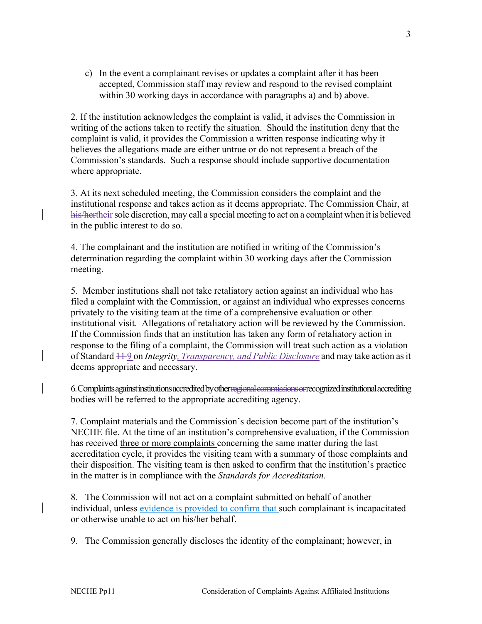c) In the event a complainant revises or updates a complaint after it has been accepted, Commission staff may review and respond to the revised complaint within 30 working days in accordance with paragraphs a) and b) above.

2. If the institution acknowledges the complaint is valid, it advises the Commission in writing of the actions taken to rectify the situation. Should the institution deny that the complaint is valid, it provides the Commission a written response indicating why it believes the allegations made are either untrue or do not represent a breach of the Commission's standards. Such a response should include supportive documentation where appropriate.

3. At its next scheduled meeting, the Commission considers the complaint and the institutional response and takes action as it deems appropriate. The Commission Chair, at his/hertheir sole discretion, may call a special meeting to act on a complaint when it is believed in the public interest to do so.

4. The complainant and the institution are notified in writing of the Commission's determination regarding the complaint within 30 working days after the Commission meeting.

5. Member institutions shall not take retaliatory action against an individual who has filed a complaint with the Commission, or against an individual who expresses concerns privately to the visiting team at the time of a comprehensive evaluation or other institutional visit. Allegations of retaliatory action will be reviewed by the Commission. If the Commission finds that an institution has taken any form of retaliatory action in response to the filing of a complaint, the Commission will treat such action as a violation of Standard 11 9 on *Integrity, Transparency, and Public Disclosure* and may take action as it deems appropriate and necessary.

6. Complaints against institutions accredited by other regional commissions or recognized institutional accrediting bodies will be referred to the appropriate accrediting agency.

7. Complaint materials and the Commission's decision become part of the institution's NECHE file. At the time of an institution's comprehensive evaluation, if the Commission has received three or more complaints concerning the same matter during the last accreditation cycle, it provides the visiting team with a summary of those complaints and their disposition. The visiting team is then asked to confirm that the institution's practice in the matter is in compliance with the *Standards for Accreditation.*

8. The Commission will not act on a complaint submitted on behalf of another individual, unless evidence is provided to confirm that such complainant is incapacitated or otherwise unable to act on his/her behalf.

9. The Commission generally discloses the identity of the complainant; however, in